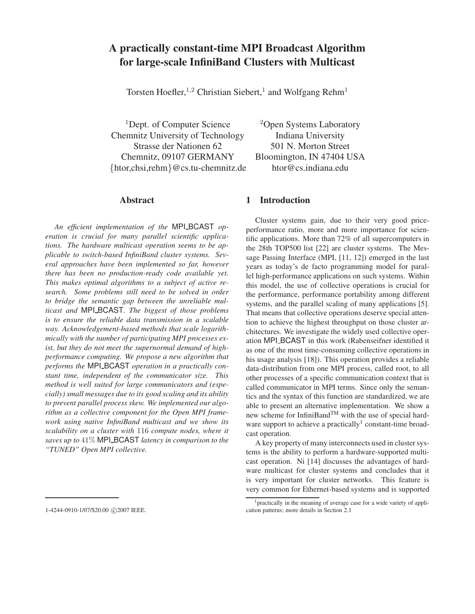# **A practically constant-time MPI Broadcast Algorithm for large-scale InfiniBand Clusters with Multicast**

Torsten Hoefler,<sup>1,2</sup> Christian Siebert,<sup>1</sup> and Wolfgang Rehm<sup>1</sup>

<sup>1</sup>Dept. of Computer Science  $2^2$ Open Systems Laboratory Chemnitz University of Technology Indiana University Strasse der Nationen 62 501 N. Morton Street Chemnitz, 09107 GERMANY Bloomington, IN 47404 USA {htor,chsi,rehm}@cs.tu-chemnitz.de htor@cs.indiana.edu

## **Abstract**

An efficient implementation of the MPI<sub>-BCAST</sub> op*eration is crucial for many parallel scientific applications. The hardware multicast operation seems to be applicable to switch-based InfiniBand cluster systems. Several approaches have been implemented so far, however there has been no production-ready code available yet. This makes optimal algorithms to a subject of active research. Some problems still need to be solved in order to bridge the semantic gap between the unreliable multicast and* MPI BCAST*. The biggest of those problems is to ensure the reliable data transmission in a scalable way. Acknowledgement-based methods that scale logarithmically with the number of participating MPI processes exist, but they do not meet the supernormal demand of highperformance computing. We propose a new algorithm that performs the* MPI BCAST *operation in a practically constant time, independent of the communicator size. This method is well suited for large communicators and (especially) small messages due to its good scaling and its ability to prevent parallel process skew. We implemented our algorithm as a collective component for the Open MPI framework using native InfiniBand multicast and we show its scalability on a cluster with* 116 *compute nodes, where it saves up to* 41% MPI BCAST *latency in comparison to the "TUNED" Open MPI collective.*

# **1 Introduction**

Cluster systems gain, due to their very good priceperformance ratio, more and more importance for scientific applications. More than 72% of all supercomputers in the 28th TOP500 list [22] are cluster systems. The Message Passing Interface (MPI, [11, 12]) emerged in the last years as today's de facto programming model for parallel high-performance applications on such systems. Within this model, the use of collective operations is crucial for the performance, performance portability among different systems, and the parallel scaling of many applications [5]. That means that collective operations deserve special attention to achieve the highest throughput on those cluster architectures. We investigate the widely used collective operation MPI BCAST in this work (Rabenseifner identified it as one of the most time-consuming collective operations in his usage analysis [18]). This operation provides a reliable data-distribution from one MPI process, called root, to all other processes of a specific communication context that is called communicator in MPI terms. Since only the semantics and the syntax of this function are standardized, we are able to present an alternative implementation. We show a new scheme for InfiniBandTM with the use of special hardware support to achieve a practically<sup>1</sup> constant-time broadcast operation.

A key property of many interconnects used in cluster systems is the ability to perform a hardware-supported multicast operation. Ni [14] discusses the advantages of hardware multicast for cluster systems and concludes that it is very important for cluster networks. This feature is very common for Ethernet-based systems and is supported

<sup>1-4244-0910-1/07/\$20.00 ©2007</sup> IEEE.

<sup>1</sup>practically in the meaning of average case for a wide variety of application patterns; more details in Section 2.1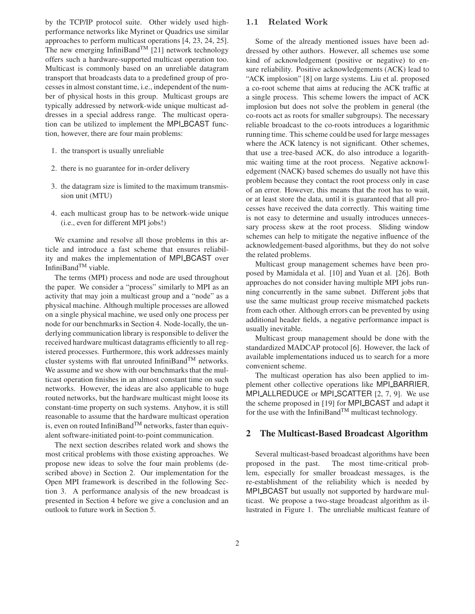by the TCP/IP protocol suite. Other widely used highperformance networks like Myrinet or Quadrics use similar approaches to perform multicast operations [4, 23, 24, 25]. The new emerging InfiniBand<sup>TM</sup> [21] network technology offers such a hardware-supported multicast operation too. Multicast is commonly based on an unreliable datagram transport that broadcasts data to a predefined group of processes in almost constant time, i.e., independent of the number of physical hosts in this group. Multicast groups are typically addressed by network-wide unique multicast addresses in a special address range. The multicast operation can be utilized to implement the MPI<sub>-BCAST</sub> function, however, there are four main problems:

- 1. the transport is usually unreliable
- 2. there is no guarantee for in-order delivery
- 3. the datagram size is limited to the maximum transmission unit (MTU)
- 4. each multicast group has to be network-wide unique (i.e., even for different MPI jobs!)

We examine and resolve all those problems in this article and introduce a fast scheme that ensures reliability and makes the implementation of MPI BCAST over InfiniBand™ viable.

The terms (MPI) process and node are used throughout the paper. We consider a "process" similarly to MPI as an activity that may join a multicast group and a "node" as a physical machine. Although multiple processes are allowed on a single physical machine, we used only one process per node for our benchmarks in Section 4. Node-locally, the underlying communication library is responsible to deliver the received hardware multicast datagrams efficiently to all registered processes. Furthermore, this work addresses mainly cluster systems with flat unrouted InfiniBand<sup>TM</sup> networks. We assume and we show with our benchmarks that the multicast operation finishes in an almost constant time on such networks. However, the ideas are also applicable to huge routed networks, but the hardware multicast might loose its constant-time property on such systems. Anyhow, it is still reasonable to assume that the hardware multicast operation is, even on routed InfiniBand<sup>TM</sup> networks, faster than equivalent software-initiated point-to-point communication.

The next section describes related work and shows the most critical problems with those existing approaches. We propose new ideas to solve the four main problems (described above) in Section 2. Our implementation for the Open MPI framework is described in the following Section 3. A performance analysis of the new broadcast is presented in Section 4 before we give a conclusion and an outlook to future work in Section 5.

#### 1.1 Related Work

Some of the already mentioned issues have been addressed by other authors. However, all schemes use some kind of acknowledgement (positive or negative) to ensure reliability. Positive acknowledgements (ACK) lead to "ACK implosion" [8] on large systems. Liu et al. proposed a co-root scheme that aims at reducing the ACK traffic at a single process. This scheme lowers the impact of ACK implosion but does not solve the problem in general (the co-roots act as roots for smaller subgroups). The necessary reliable broadcast to the co-roots introduces a logarithmic running time. This scheme could be used for large messages where the ACK latency is not significant. Other schemes, that use a tree-based ACK, do also introduce a logarithmic waiting time at the root process. Negative acknowledgement (NACK) based schemes do usually not have this problem because they contact the root process only in case of an error. However, this means that the root has to wait, or at least store the data, until it is guaranteed that all processes have received the data correctly. This waiting time is not easy to determine and usually introduces unnecessary process skew at the root process. Sliding window schemes can help to mitigate the negative influence of the acknowledgement-based algorithms, but they do not solve the related problems.

Multicast group management schemes have been proposed by Mamidala et al. [10] and Yuan et al. [26]. Both approaches do not consider having multiple MPI jobs running concurrently in the same subnet. Different jobs that use the same multicast group receive mismatched packets from each other. Although errors can be prevented by using additional header fields, a negative performance impact is usually inevitable.

Multicast group management should be done with the standardized MADCAP protocol [6]. However, the lack of available implementations induced us to search for a more convenient scheme.

The multicast operation has also been applied to implement other collective operations like MPI\_BARRIER, MPI\_ALLREDUCE or MPI\_SCATTER [2, 7, 9]. We use the scheme proposed in [19] for MPI\_BCAST and adapt it for the use with the InfiniBand<sup>TM</sup> multicast technology.

## **2 The Multicast-Based Broadcast Algorithm**

Several multicast-based broadcast algorithms have been proposed in the past. The most time-critical problem, especially for smaller broadcast messages, is the re-establishment of the reliability which is needed by MPI\_BCAST but usually not supported by hardware multicast. We propose a two-stage broadcast algorithm as illustrated in Figure 1. The unreliable multicast feature of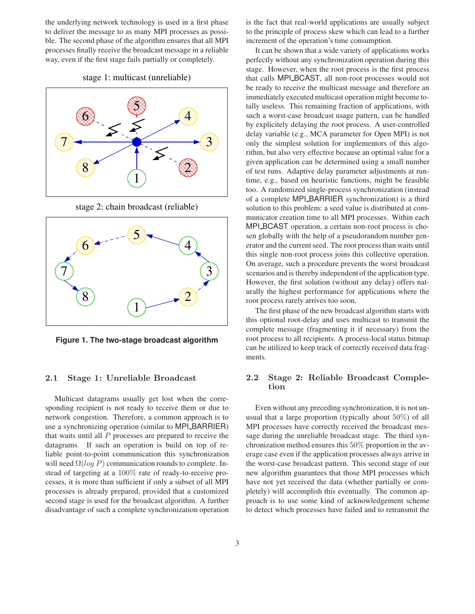the underlying network technology is used in a first phase to deliver the message to as many MPI processes as possible. The second phase of the algorithm ensures that all MPI processes finally receive the broadcast message in a reliable way, even if the first stage fails partially or completely.



stage 2: chain broadcast (reliable)



**Figure 1. The two-stage broadcast algorithm**

#### 2.1 Stage 1: Unreliable Broadcast

Multicast datagrams usually get lost when the corresponding recipient is not ready to receive them or due to network congestion. Therefore, a common approach is to use a synchronizing operation (similar to MPI\_BARRIER) that waits until all  $P$  processes are prepared to receive the datagrams. If such an operation is build on top of reliable point-to-point communication this synchronization will need  $\Omega(\log P)$  communication rounds to complete. Instead of targeting at a 100% rate of ready-to-receive processes, it is more than sufficient if only a subset of all MPI processes is already prepared, provided that a customized second stage is used for the broadcast algorithm. A further disadvantage of such a complete synchronization operation is the fact that real-world applications are usually subject to the principle of process skew which can lead to a further increment of the operation's time consumption.

It can be shown that a wide variety of applications works perfectly without any synchronization operation during this stage. However, when the root process is the first process that calls MPI BCAST, all non-root processes would not be ready to receive the multicast message and therefore an immediately executed multicast operation might become totally useless. This remaining fraction of applications, with such a worst-case broadcast usage pattern, can be handled by explicitely delaying the root process. A user-controlled delay variable (e.g., MCA parameter for Open MPI) is not only the simplest solution for implementors of this algorithm, but also very effective because an optimal value for a given application can be determined using a small number of test runs. Adaptive delay parameter adjustments at runtime, e.g., based on heuristic functions, might be feasible too. A randomized single-process synchronization (instead of a complete MPI\_BARRIER synchronization) is a third solution to this problem: a seed value is distributed at communicator creation time to all MPI processes. Within each MPI BCAST operation, a certain non-root process is chosen globally with the help of a pseudorandom number generator and the current seed. The root process than waits until this single non-root process joins this collective operation. On average, such a procedure prevents the worst broadcast scenarios and is thereby independent of the application type. However, the first solution (without any delay) offers naturally the highest performance for applications where the root process rarely arrives too soon.

The first phase of the new broadcast algorithm starts with this optional root-delay and uses multicast to transmit the complete message (fragmenting it if necessary) from the root process to all recipients. A process-local status bitmap can be utilized to keep track of correctly received data fragments.

## 2.2 Stage 2: Reliable Broadcast Completion

Even without any preceding synchronization, it is not unusual that a large proportion (typically about 50%) of all MPI processes have correctly received the broadcast message during the unreliable broadcast stage. The third synchronization method ensures this 50% proportion in the average case even if the application processes always arrive in the worst-case broadcast pattern. This second stage of our new algorithm guarantees that those MPI processes which have not yet received the data (whether partially or completely) will accomplish this eventually. The common approach is to use some kind of acknowledgement scheme to detect which processes have failed and to retransmit the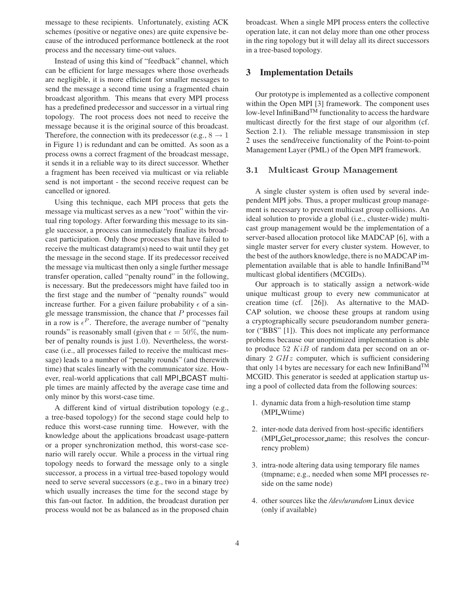message to these recipients. Unfortunately, existing ACK schemes (positive or negative ones) are quite expensive because of the introduced performance bottleneck at the root process and the necessary time-out values.

Instead of using this kind of "feedback" channel, which can be efficient for large messages where those overheads are negligible, it is more efficient for smaller messages to send the message a second time using a fragmented chain broadcast algorithm. This means that every MPI process has a predefined predecessor and successor in a virtual ring topology. The root process does not need to receive the message because it is the original source of this broadcast. Therefore, the connection with its predecessor (e.g.,  $8 \rightarrow 1$ ) in Figure 1) is redundant and can be omitted. As soon as a process owns a correct fragment of the broadcast message, it sends it in a reliable way to its direct successor. Whether a fragment has been received via multicast or via reliable send is not important - the second receive request can be cancelled or ignored.

Using this technique, each MPI process that gets the message via multicast serves as a new "root" within the virtual ring topology. After forwarding this message to its single successor, a process can immediately finalize its broadcast participation. Only those processes that have failed to receive the multicast datagram(s) need to wait until they get the message in the second stage. If its predecessor received the message via multicast then only a single further message transfer operation, called "penalty round" in the following, is necessary. But the predecessors might have failed too in the first stage and the number of "penalty rounds" would increase further. For a given failure probability  $\epsilon$  of a single message transmission, the chance that  $P$  processes fail in a row is  $\epsilon^P$ . Therefore, the average number of "penalty" rounds" is reasonably small (given that  $\epsilon = 50\%$ , the number of penalty rounds is just 1.0). Nevertheless, the worstcase (i.e., all processes failed to receive the multicast message) leads to a number of "penalty rounds" (and therewith time) that scales linearly with the communicator size. However, real-world applications that call MPI\_BCAST multiple times are mainly affected by the average case time and only minor by this worst-case time.

A different kind of virtual distribution topology (e.g., a tree-based topology) for the second stage could help to reduce this worst-case running time. However, with the knowledge about the applications broadcast usage-pattern or a proper synchronization method, this worst-case scenario will rarely occur. While a process in the virtual ring topology needs to forward the message only to a single successor, a process in a virtual tree-based topology would need to serve several successors (e.g., two in a binary tree) which usually increases the time for the second stage by this fan-out factor. In addition, the broadcast duration per process would not be as balanced as in the proposed chain

broadcast. When a single MPI process enters the collective operation late, it can not delay more than one other process in the ring topology but it will delay all its direct successors in a tree-based topology.

# **3 Implementation Details**

Our prototype is implemented as a collective component within the Open MPI [3] framework. The component uses low-level InfiniBand<sup>TM</sup> functionality to access the hardware multicast directly for the first stage of our algorithm (cf. Section 2.1). The reliable message transmission in step 2 uses the send/receive functionality of the Point-to-point Management Layer (PML) of the Open MPI framework.

#### 3.1 Multicast Group Management

A single cluster system is often used by several independent MPI jobs. Thus, a proper multicast group management is necessary to prevent multicast group collisions. An ideal solution to provide a global (i.e., cluster-wide) multicast group management would be the implementation of a server-based allocation protocol like MADCAP [6], with a single master server for every cluster system. However, to the best of the authors knowledge, there is no MADCAP implementation available that is able to handle InfiniBand<sup>TM</sup> multicast global identifiers (MCGIDs).

Our approach is to statically assign a network-wide unique multicast group to every new communicator at creation time (cf. [26]). As alternative to the MAD-CAP solution, we choose these groups at random using a cryptographically secure pseudorandom number generator ("BBS" [1]). This does not implicate any performance problems because our unoptimized implementation is able to produce  $52$   $KiB$  of random data per second on an ordinary  $2 \text{ } GHz$  computer, which is sufficient considering that only 14 bytes are necessary for each new InfiniBand<sup>TM</sup> MCGID. This generator is seeded at application startup using a pool of collected data from the following sources:

- 1. dynamic data from a high-resolution time stamp (MPI\_Wtime)
- 2. inter-node data derived from host-specific identifiers (MPI Get processor name; this resolves the concurrency problem)
- 3. intra-node altering data using temporary file names (tmpname; e.g., needed when some MPI processes reside on the same node)
- 4. other sources like the */dev/urandom* Linux device (only if available)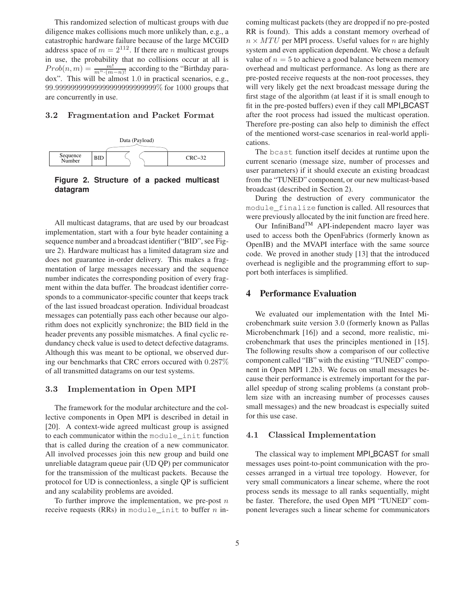This randomized selection of multicast groups with due diligence makes collisions much more unlikely than, e.g., a catastrophic hardware failure because of the large MCGID address space of  $m = 2^{112}$ . If there are *n* multicast groups in use, the probability that no collisions occur at all is  $Prob(n, m) = \frac{m!}{m^n \cdot (m-n)!}$  according to the "Birthday paradox". This will be almost 1.0 in practical scenarios, e.g., 99.99999999999999999999999999% for 1000 groups that are concurrently in use.

## 3.2 Fragmentation and Packet Format



**Figure 2. Structure of a packed multicast datagram**

All multicast datagrams, that are used by our broadcast implementation, start with a four byte header containing a sequence number and a broadcast identifier ("BID", see Figure 2). Hardware multicast has a limited datagram size and does not guarantee in-order delivery. This makes a fragmentation of large messages necessary and the sequence number indicates the corresponding position of every fragment within the data buffer. The broadcast identifier corresponds to a communicator-specific counter that keeps track of the last issued broadcast operation. Individual broadcast messages can potentially pass each other because our algorithm does not explicitly synchronize; the BID field in the header prevents any possible mismatches. A final cyclic redundancy check value is used to detect defective datagrams. Although this was meant to be optional, we observed during our benchmarks that CRC errors occured with 0.287% of all transmitted datagrams on our test systems.

#### 3.3 Implementation in Open MPI

The framework for the modular architecture and the collective components in Open MPI is described in detail in [20]. A context-wide agreed multicast group is assigned to each communicator within the module\_init function that is called during the creation of a new communicator. All involved processes join this new group and build one unreliable datagram queue pair (UD QP) per communicator for the transmission of the multicast packets. Because the protocol for UD is connectionless, a single QP is sufficient and any scalability problems are avoided.

To further improve the implementation, we pre-post  $n$ receive requests (RRs) in module\_init to buffer  $n$  incoming multicast packets (they are dropped if no pre-posted RR is found). This adds a constant memory overhead of  $n \times MTU$  per MPI process. Useful values for n are highly system and even application dependent. We chose a default value of  $n = 5$  to achieve a good balance between memory overhead and multicast performance. As long as there are pre-posted receive requests at the non-root processes, they will very likely get the next broadcast message during the first stage of the algorithm (at least if it is small enough to fit in the pre-posted buffers) even if they call MPI BCAST after the root process had issued the multicast operation. Therefore pre-posting can also help to diminish the effect of the mentioned worst-case scenarios in real-world applications.

The bcast function itself decides at runtime upon the current scenario (message size, number of processes and user parameters) if it should execute an existing broadcast from the "TUNED" component, or our new multicast-based broadcast (described in Section 2).

During the destruction of every communicator the module\_finalize function is called. All resources that were previously allocated by the init function are freed here.

Our InfiniBand<sup>TM</sup> API-independent macro layer was used to access both the OpenFabrics (formerly known as OpenIB) and the MVAPI interface with the same source code. We proved in another study [13] that the introduced overhead is negligible and the programming effort to support both interfaces is simplified.

#### **4 Performance Evaluation**

We evaluated our implementation with the Intel Microbenchmark suite version 3.0 (formerly known as Pallas Microbenchmark [16]) and a second, more realistic, microbenchmark that uses the principles mentioned in [15]. The following results show a comparison of our collective component called "IB" with the existing "TUNED" component in Open MPI 1.2b3. We focus on small messages because their performance is extremely important for the parallel speedup of strong scaling problems (a constant problem size with an increasing number of processes causes small messages) and the new broadcast is especially suited for this use case.

## 4.1 Classical Implementation

The classical way to implement MPI\_BCAST for small messages uses point-to-point communication with the processes arranged in a virtual tree topology. However, for very small communicators a linear scheme, where the root process sends its message to all ranks sequentially, might be faster. Therefore, the used Open MPI "TUNED" component leverages such a linear scheme for communicators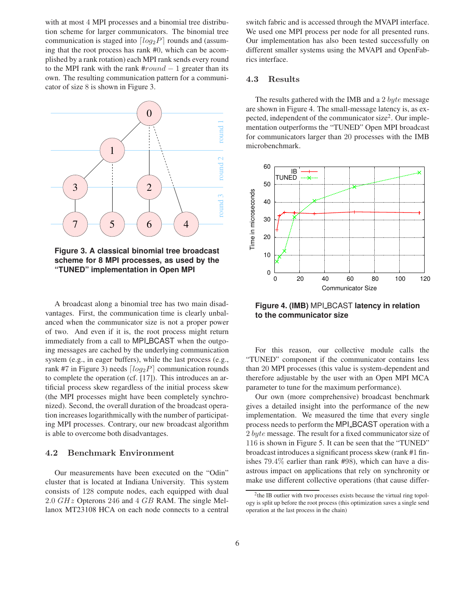with at most 4 MPI processes and a binomial tree distribution scheme for larger communicators. The binomial tree communication is staged into  $\lceil log_2 P \rceil$  rounds and (assuming that the root process has rank #0, which can be acomplished by a rank rotation) each MPI rank sends every round to the MPI rank with the rank  $\text{#round} - 1$  greater than its own. The resulting communication pattern for a communicator of size 8 is shown in Figure 3.



**Figure 3. A classical binomial tree broadcast scheme for 8 MPI processes, as used by the "TUNED" implementation in Open MPI**

A broadcast along a binomial tree has two main disadvantages. First, the communication time is clearly unbalanced when the communicator size is not a proper power of two. And even if it is, the root process might return immediately from a call to MPI\_BCAST when the outgoing messages are cached by the underlying communication system (e.g., in eager buffers), while the last process (e.g., rank #7 in Figure 3) needs  $\lceil log_2 P \rceil$  communication rounds to complete the operation (cf. [17]). This introduces an artificial process skew regardless of the initial process skew (the MPI processes might have been completely synchronized). Second, the overall duration of the broadcast operation increases logarithmically with the number of participating MPI processes. Contrary, our new broadcast algorithm is able to overcome both disadvantages.

# 4.2 Benchmark Environment

Our measurements have been executed on the "Odin" cluster that is located at Indiana University. This system consists of 128 compute nodes, each equipped with dual 2.0 *GHz* Opterons 246 and 4 *GB* RAM. The single Mellanox MT23108 HCA on each node connects to a central

switch fabric and is accessed through the MVAPI interface. We used one MPI process per node for all presented runs. Our implementation has also been tested successfully on different smaller systems using the MVAPI and OpenFabrics interface.

#### 4.3 Results

The results gathered with the IMB and a 2 byte message are shown in Figure 4. The small-message latency is, as expected, independent of the communicator size<sup>2</sup>. Our implementation outperforms the "TUNED" Open MPI broadcast for communicators larger than 20 processes with the IMB microbenchmark.



**Figure 4. (IMB)** MPI BCAST **latency in relation to the communicator size**

For this reason, our collective module calls the "TUNED" component if the communicator contains less than 20 MPI processes (this value is system-dependent and therefore adjustable by the user with an Open MPI MCA parameter to tune for the maximum performance).

Our own (more comprehensive) broadcast benchmark gives a detailed insight into the performance of the new implementation. We measured the time that every single process needs to perform the MPI\_BCAST operation with a 2 byte message. The result for a fixed communicator size of 116 is shown in Figure 5. It can be seen that the "TUNED" broadcast introduces a significant process skew (rank #1 finishes 79.4% earlier than rank #98), which can have a disastrous impact on applications that rely on synchronity or make use different collective operations (that cause differ-

<sup>&</sup>lt;sup>2</sup>the IB outlier with two processes exists because the virtual ring topology is split up before the root process (this optimization saves a single send operation at the last process in the chain)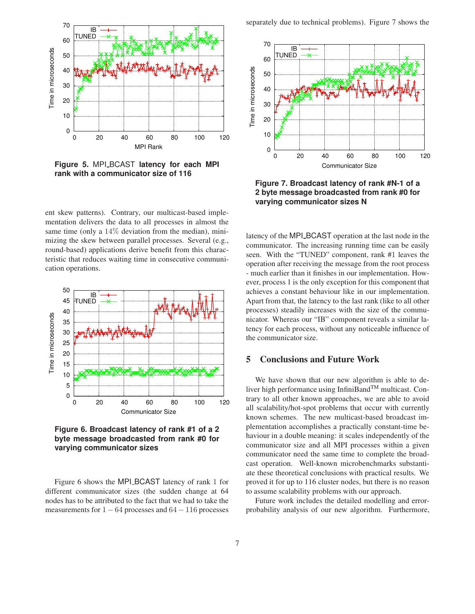

**Figure 5. MPLBCAST latency for each MPI rank with a communicator size of 116**

ent skew patterns). Contrary, our multicast-based implementation delivers the data to all processes in almost the same time (only a  $14\%$  deviation from the median), minimizing the skew between parallel processes. Several (e.g., round-based) applications derive benefit from this characteristic that reduces waiting time in consecutive communication operations.



**Figure 6. Broadcast latency of rank #1 of a 2 byte message broadcasted from rank #0 for varying communicator sizes**

Figure 6 shows the MPI\_BCAST latency of rank 1 for different communicator sizes (the sudden change at 64 nodes has to be attributed to the fact that we had to take the measurements for  $1 - 64$  processes and  $64 - 116$  processes



**Figure 7. Broadcast latency of rank #N-1 of a 2 byte message broadcasted from rank #0 for varying communicator sizes N**

latency of the MPI\_BCAST operation at the last node in the communicator. The increasing running time can be easily seen. With the "TUNED" component, rank #1 leaves the operation after receiving the message from the root process - much earlier than it finishes in our implementation. However, process 1 is the only exception for this component that achieves a constant behaviour like in our implementation. Apart from that, the latency to the last rank (like to all other processes) steadily increases with the size of the communicator. Whereas our "IB" component reveals a similar latency for each process, without any noticeable influence of the communicator size.

# **5 Conclusions and Future Work**

We have shown that our new algorithm is able to deliver high performance using InfiniBand<sup>TM</sup> multicast. Contrary to all other known approaches, we are able to avoid all scalability/hot-spot problems that occur with currently known schemes. The new multicast-based broadcast implementation accomplishes a practically constant-time behaviour in a double meaning: it scales independently of the communicator size and all MPI processes within a given communicator need the same time to complete the broadcast operation. Well-known microbenchmarks substantiate these theoretical conclusions with practical results. We proved it for up to 116 cluster nodes, but there is no reason to assume scalability problems with our approach.

Future work includes the detailed modelling and errorprobability analysis of our new algorithm. Furthermore,